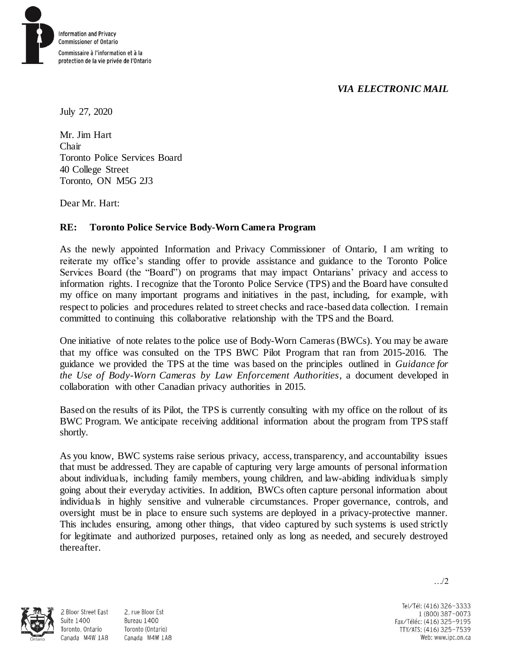## *VIA ELECTRONIC MAIL*



July 27, 2020

Mr. Jim Hart Chair Toronto Police Services Board 40 College Street Toronto, ON M5G 2J3

Dear Mr. Hart:

## **RE: Toronto Police Service Body-Worn Camera Program**

As the newly appointed Information and Privacy Commissioner of Ontario, I am writing to reiterate my office's standing offer to provide assistance and guidance to the Toronto Police Services Board (the "Board") on programs that may impact Ontarians' privacy and access to information rights. I recognize that the Toronto Police Service (TPS) and the Board have consulted my office on many important programs and initiatives in the past, including, for example, with respect to policies and procedures related to street checks and race-based data collection. I remain committed to continuing this collaborative relationship with the TPS and the Board.

One initiative of note relates to the police use of Body-Worn Cameras (BWCs). You may be aware that my office was consulted on the TPS BWC Pilot Program that ran from 2015-2016. The guidance we provided the TPS at the time was based on the principles outlined in *Guidance for the Use of Body-Worn Cameras by Law Enforcement Authorities*, a document developed in collaboration with other Canadian privacy authorities in 2015.

Based on the results of its Pilot, the TPS is currently consulting with my office on the rollout of its BWC Program. We anticipate receiving additional information about the program from TPS staff shortly.

As you know, BWC systems raise serious privacy, access, transparency, and accountability issues that must be addressed. They are capable of capturing very large amounts of personal information about individuals, including family members, young children, and law-abiding individuals simply going about their everyday activities. In addition, BWCs often capture personal information about individuals in highly sensitive and vulnerable circumstances. Proper governance, controls, and oversight must be in place to ensure such systems are deployed in a privacy-protective manner. This includes ensuring, among other things, that video captured by such systems is used strictly for legitimate and authorized purposes, retained only as long as needed, and securely destroyed thereafter.



**Suite 1400** 

2, rue Bloor Est 2 Bloor Street East Bureau 1400 Toronto (Ontario) Toronto, Ontario Canada M4W 1A8 Canada M4W 1A8

Tel/Tél: (416) 326-3333 1 (800) 387-0073 Fax/Téléc: (416) 325-9195 TTY/ATS: (416) 325-7539 Web: www.ipc.on.ca

…/2